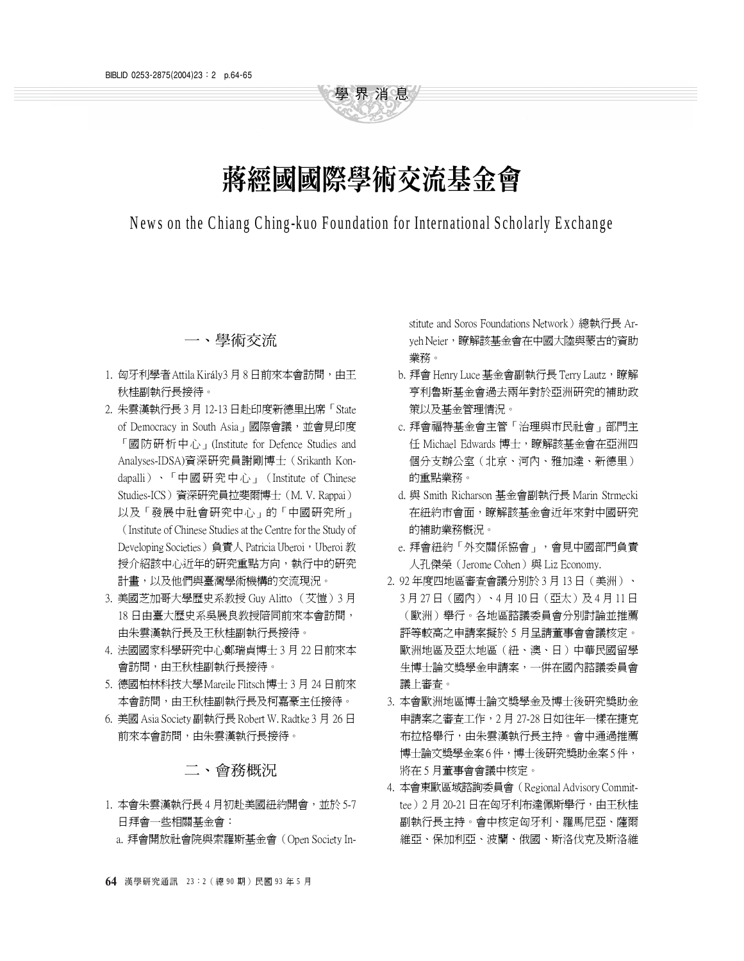# 蔣經國國際學術交流基金會

學界消息

## News on the Chiang Ching-kuo Foundation for International Scholarly Exchange

#### 一、學術交流

- 1. 匈牙利學者 Attila Király3 月 8 日前來本會訪問,由王 秋桂副執行長接待。
- 2. 朱雲漢執行長 3 月 12-13 日赴印度新德里出席「State of Democracy in South Asia」國際會議,並會見印度 「國防研析㆗心」(Institute for Defence Studies and Analyses-IDSA)資深研究員謝剛博士(Srikanth Kondapalli)、「中國研究中心」(Institute of Chinese Studies-ICS)資深研究員拉斐爾博士(M. V. Rappai) 以及「發展中社會研究中心」的「中國研究所」 (Institute of Chinese Studies at the Centre for the Study of Developing Societies) 負責人 Patricia Uberoi, Uberoi 教 授介紹該中心近年的研究重點方向,執行中的研究 計畫,以及他們與臺灣學術機構的交流現況。
- 3. 美國芝加哥大學歷史系教授 Guy Alitto (艾愷)3 月 18 日由臺大歷史系吳展良教授陪同前來本會訪問, 由朱雲漢執行長及王秋桂副執行長接待。
- 4. 法國國家科學研究中心鄭瑞貞博士 3 月 22 日前來本 會訪問,由王秋桂副執行長接待。
- 5. 德國柏林科技大學Mareile Flitsch博士 3 月 24 日前來 本會訪問,由王秋桂副執行長及柯嘉豪主任接待。
- 6. 美國 Asia Society 副執行長 Robert W. Radtke 3 月 26 日 前來本會訪問,由朱雲漢執行長接待。

#### 二、會務概況

- 1. 本會朱雲漢執行長 4 月初赴美國紐約開會,並於 5-7 日拜會㆒些相關基金會:
	- a. 拜會開放社會院與索羅斯基金會(Open Society In-

stitute and Soros Foundations Network)總執行長 Aryeh Neier,瞭解該基金會在中國大陸與蒙古的資助 業務。

- b. 拜會 Henry Luce 基金會副執行長 Terry Lautz,瞭解 亨利魯斯基金會過去兩年對於亞洲研究的補助政 策以及基金管理情況。
- c. 拜會福特基金會主管「治理與市民社會」部門主 任 Michael Edwards 博士,瞭解該基金會在亞洲四 個分支辦公室(北京、河內、雅加達、新德里) 的重點業務。
- d. 與 Smith Richarson 基金會副執行長 Marin Strmecki 在紐約市會面,瞭解該基金會近年來對中國研究 的補助業務概況。
- e. 拜會紐約「外交關係協會」,會見中國部門負責 人孔傑榮 (Jerome Cohen) 與 Liz Economy.
- 2. 92年度四地區審査會議分別於 3 月 13 日 (美洲)、 3 月 27 日(國內)、4 月 10 日(亞太)及 4 月 11 日 (歐洲)舉行。各㆞區諮議委員會分別討論並推薦 評等較高之申請案擬於 5 月呈請董事會會議核定。 歐洲地區及亞太地區(紐、澳、日)中華民國留學 生博士論文獎學金申請案,一併在國內諮議委員會 議上審査。
- 3. 本會歐洲地區博士論文獎學金及博士後研究獎助金 申請案之審查工作,2 月 27-28 日如往年㆒樣在捷克 布拉格舉行,由朱雲漢執行長主持。會中通過推薦 博士論文獎學金案 6 件,博士後研究獎助金案 5 件, 將在 5 月董事會會議中核定。
- 4. 本會東歐區域諮詢委員會(Regional Advisory Committee) 2月 20-21 日在匈牙利布達佩斯舉行,由王秋桂 副執行長主持。會㆗核定匈牙利、羅馬尼亞、薩爾 維亞、保加利亞、波蘭、俄國、斯洛伐克及斯洛維